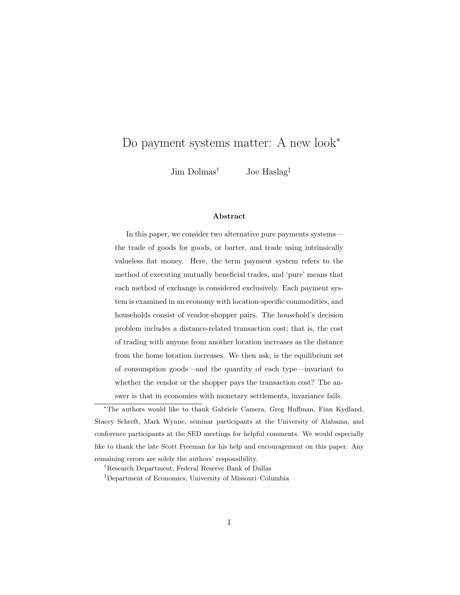# Do payment systems matter: A new look<sup>∗</sup>

Jim Dolmas† Joe Haslag‡

#### Abstract

In this paper, we consider two alternative pure payments systems the trade of goods for goods, or barter, and trade using intrinsically valueless fiat money. Here, the term payment system refers to the method of executing mutually beneficial trades, and 'pure' means that each method of exchange is considered exclusively. Each payment system is examined in an economy with location-specific commodities, and households consist of vendor-shopper pairs. The household's decision problem includes a distance-related transaction cost; that is, the cost of trading with anyone from another location increases as the distance from the home location increases. We then ask, is the equilibrium set of consumption goods—and the quantity of each type—invariant to whether the vendor or the shopper pays the transaction cost? The answer is that in economies with monetary settlements, invariance fails.

<sup>∗</sup>The authors would like to thank Gabriele Camera, Greg Huffman, Finn Kydland, Stacey Schreft, Mark Wynne, seminar participants at the University of Alabama, and conference participants at the SED meetings for helpful comments. We would especially like to thank the late Scott Freeman for his help and encouragement on this paper. Any remaining errors are solely the authors' responsibility.

†Research Department, Federal Reserve Bank of Dallas

‡Department of Economics, University of Missouri–Columbia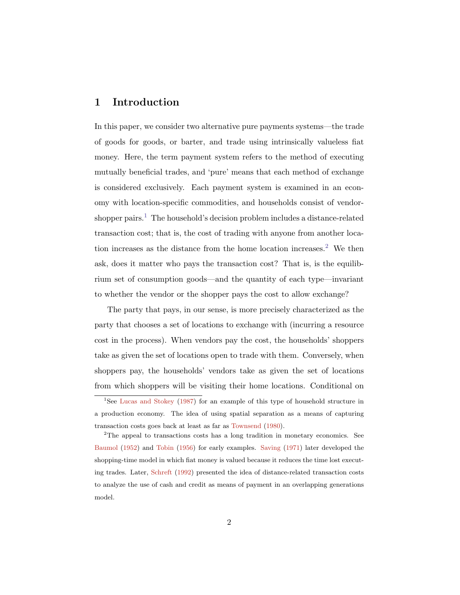## 1 Introduction

In this paper, we consider two alternative pure payments systems—the trade of goods for goods, or barter, and trade using intrinsically valueless fiat money. Here, the term payment system refers to the method of executing mutually beneficial trades, and 'pure' means that each method of exchange is considered exclusively. Each payment system is examined in an economy with location-specific commodities, and households consist of vendor-shopper pairs.<sup>[1](#page-1-0)</sup> The household's decision problem includes a distance-related transaction cost; that is, the cost of trading with anyone from another location increases as the distance from the home location increases.[2](#page-1-1) We then ask, does it matter who pays the transaction cost? That is, is the equilibrium set of consumption goods—and the quantity of each type—invariant to whether the vendor or the shopper pays the cost to allow exchange?

The party that pays, in our sense, is more precisely characterized as the party that chooses a set of locations to exchange with (incurring a resource cost in the process). When vendors pay the cost, the households' shoppers take as given the set of locations open to trade with them. Conversely, when shoppers pay, the households' vendors take as given the set of locations from which shoppers will be visiting their home locations. Conditional on

<span id="page-1-1"></span><sup>2</sup>The appeal to transactions costs has a long tradition in monetary economics. See [Baumol](#page-32-1) [\(1952\)](#page-32-1) and [Tobin](#page-33-1) [\(1956\)](#page-33-1) for early examples. [Saving](#page-33-2) [\(1971\)](#page-33-2) later developed the shopping-time model in which fiat money is valued because it reduces the time lost executing trades. Later, [Schreft](#page-33-3) [\(1992\)](#page-33-3) presented the idea of distance-related transaction costs to analyze the use of cash and credit as means of payment in an overlapping generations model.

<span id="page-1-0"></span><sup>&</sup>lt;sup>1</sup>See [Lucas and Stokey](#page-32-0) [\(1987\)](#page-32-0) for an example of this type of household structure in a production economy. The idea of using spatial separation as a means of capturing transaction costs goes back at least as far as [Townsend](#page-33-0) [\(1980\)](#page-33-0).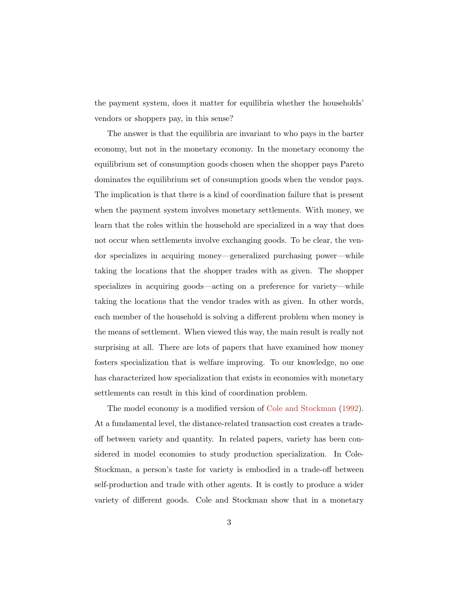the payment system, does it matter for equilibria whether the households' vendors or shoppers pay, in this sense?

The answer is that the equilibria are invariant to who pays in the barter economy, but not in the monetary economy. In the monetary economy the equilibrium set of consumption goods chosen when the shopper pays Pareto dominates the equilibrium set of consumption goods when the vendor pays. The implication is that there is a kind of coordination failure that is present when the payment system involves monetary settlements. With money, we learn that the roles within the household are specialized in a way that does not occur when settlements involve exchanging goods. To be clear, the vendor specializes in acquiring money—generalized purchasing power—while taking the locations that the shopper trades with as given. The shopper specializes in acquiring goods—acting on a preference for variety—while taking the locations that the vendor trades with as given. In other words, each member of the household is solving a different problem when money is the means of settlement. When viewed this way, the main result is really not surprising at all. There are lots of papers that have examined how money fosters specialization that is welfare improving. To our knowledge, no one has characterized how specialization that exists in economies with monetary settlements can result in this kind of coordination problem.

The model economy is a modified version of [Cole and Stockman](#page-32-2) [\(1992\)](#page-32-2). At a fundamental level, the distance-related transaction cost creates a tradeoff between variety and quantity. In related papers, variety has been considered in model economies to study production specialization. In Cole-Stockman, a person's taste for variety is embodied in a trade-off between self-production and trade with other agents. It is costly to produce a wider variety of different goods. Cole and Stockman show that in a monetary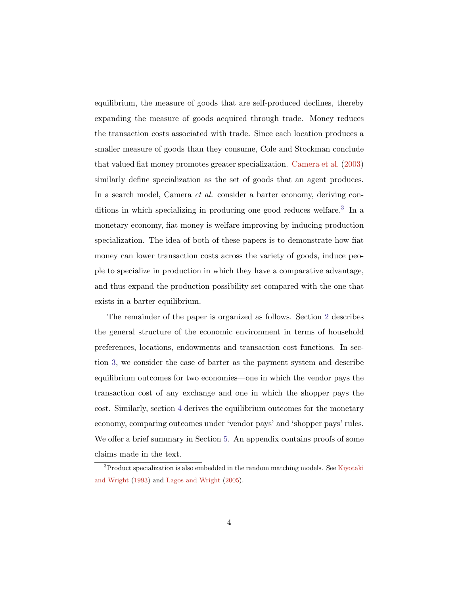equilibrium, the measure of goods that are self-produced declines, thereby expanding the measure of goods acquired through trade. Money reduces the transaction costs associated with trade. Since each location produces a smaller measure of goods than they consume, Cole and Stockman conclude that valued fiat money promotes greater specialization. [Camera et al.](#page-32-3) [\(2003\)](#page-32-3) similarly define specialization as the set of goods that an agent produces. In a search model, Camera et al. consider a barter economy, deriving con-ditions in which specializing in producing one good reduces welfare.<sup>[3](#page-3-0)</sup> In a monetary economy, fiat money is welfare improving by inducing production specialization. The idea of both of these papers is to demonstrate how fiat money can lower transaction costs across the variety of goods, induce people to specialize in production in which they have a comparative advantage, and thus expand the production possibility set compared with the one that exists in a barter equilibrium.

The remainder of the paper is organized as follows. Section [2](#page-4-0) describes the general structure of the economic environment in terms of household preferences, locations, endowments and transaction cost functions. In section [3,](#page-9-0) we consider the case of barter as the payment system and describe equilibrium outcomes for two economies—one in which the vendor pays the transaction cost of any exchange and one in which the shopper pays the cost. Similarly, section [4](#page-18-0) derives the equilibrium outcomes for the monetary economy, comparing outcomes under 'vendor pays' and 'shopper pays' rules. We offer a brief summary in Section [5.](#page-29-0) An appendix contains proofs of some claims made in the text.

<span id="page-3-0"></span><sup>&</sup>lt;sup>3</sup>Product specialization is also embedded in the random matching models. See [Kiyotaki](#page-32-4) [and Wright](#page-32-4) [\(1993\)](#page-32-4) and [Lagos and Wright](#page-32-5) [\(2005\)](#page-32-5).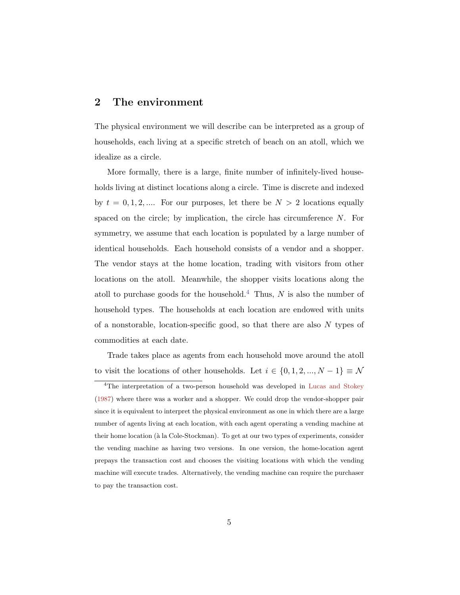### <span id="page-4-0"></span>2 The environment

The physical environment we will describe can be interpreted as a group of households, each living at a specific stretch of beach on an atoll, which we idealize as a circle.

More formally, there is a large, finite number of infinitely-lived households living at distinct locations along a circle. Time is discrete and indexed by  $t = 0, 1, 2, \dots$  For our purposes, let there be  $N > 2$  locations equally spaced on the circle; by implication, the circle has circumference N. For symmetry, we assume that each location is populated by a large number of identical households. Each household consists of a vendor and a shopper. The vendor stays at the home location, trading with visitors from other locations on the atoll. Meanwhile, the shopper visits locations along the atoll to purchase goods for the household.<sup>[4](#page-4-1)</sup> Thus, N is also the number of household types. The households at each location are endowed with units of a nonstorable, location-specific good, so that there are also N types of commodities at each date.

Trade takes place as agents from each household move around the atoll to visit the locations of other households. Let  $i \in \{0, 1, 2, ..., N - 1\} \equiv \mathcal{N}$ 

<span id="page-4-1"></span><sup>&</sup>lt;sup>4</sup>The interpretation of a two-person household was developed in [Lucas and Stokey](#page-32-0) [\(1987\)](#page-32-0) where there was a worker and a shopper. We could drop the vendor-shopper pair since it is equivalent to interpret the physical environment as one in which there are a large number of agents living at each location, with each agent operating a vending machine at their home location (à la Cole-Stockman). To get at our two types of experiments, consider the vending machine as having two versions. In one version, the home-location agent prepays the transaction cost and chooses the visiting locations with which the vending machine will execute trades. Alternatively, the vending machine can require the purchaser to pay the transaction cost.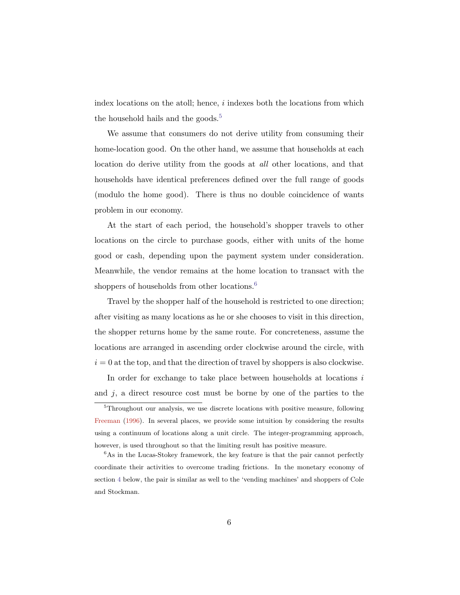index locations on the atoll; hence,  $i$  indexes both the locations from which the household hails and the goods.<sup>[5](#page-5-0)</sup>

We assume that consumers do not derive utility from consuming their home-location good. On the other hand, we assume that households at each location do derive utility from the goods at all other locations, and that households have identical preferences defined over the full range of goods (modulo the home good). There is thus no double coincidence of wants problem in our economy.

At the start of each period, the household's shopper travels to other locations on the circle to purchase goods, either with units of the home good or cash, depending upon the payment system under consideration. Meanwhile, the vendor remains at the home location to transact with the shoppers of households from other locations.<sup>[6](#page-5-1)</sup>

Travel by the shopper half of the household is restricted to one direction; after visiting as many locations as he or she chooses to visit in this direction, the shopper returns home by the same route. For concreteness, assume the locations are arranged in ascending order clockwise around the circle, with  $i = 0$  at the top, and that the direction of travel by shoppers is also clockwise.

In order for exchange to take place between households at locations in and  $j$ , a direct resource cost must be borne by one of the parties to the

<span id="page-5-0"></span><sup>5</sup>Throughout our analysis, we use discrete locations with positive measure, following [Freeman](#page-32-6) [\(1996\)](#page-32-6). In several places, we provide some intuition by considering the results using a continuum of locations along a unit circle. The integer-programming approach, however, is used throughout so that the limiting result has positive measure.

<span id="page-5-1"></span><sup>&</sup>lt;sup>6</sup>As in the Lucas-Stokey framework, the key feature is that the pair cannot perfectly coordinate their activities to overcome trading frictions. In the monetary economy of section [4](#page-18-0) below, the pair is similar as well to the 'vending machines' and shoppers of Cole and Stockman.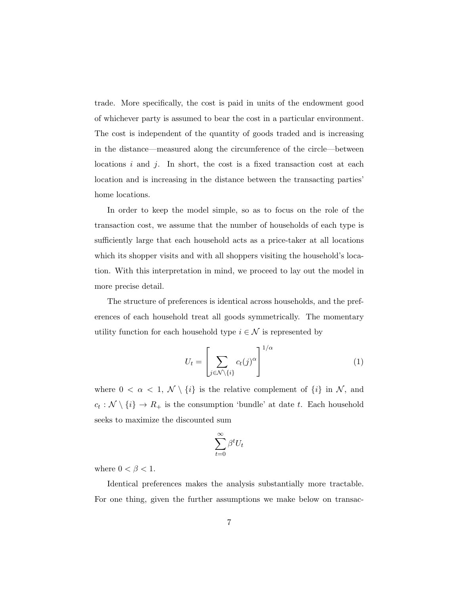trade. More specifically, the cost is paid in units of the endowment good of whichever party is assumed to bear the cost in a particular environment. The cost is independent of the quantity of goods traded and is increasing in the distance—measured along the circumference of the circle—between locations  $i$  and  $j$ . In short, the cost is a fixed transaction cost at each location and is increasing in the distance between the transacting parties' home locations.

In order to keep the model simple, so as to focus on the role of the transaction cost, we assume that the number of households of each type is sufficiently large that each household acts as a price-taker at all locations which its shopper visits and with all shoppers visiting the household's location. With this interpretation in mind, we proceed to lay out the model in more precise detail.

The structure of preferences is identical across households, and the preferences of each household treat all goods symmetrically. The momentary utility function for each household type  $i \in \mathcal{N}$  is represented by

<span id="page-6-0"></span>
$$
U_t = \left[ \sum_{j \in \mathcal{N} \setminus \{i\}} c_t(j)^{\alpha} \right]^{1/\alpha} \tag{1}
$$

where  $0 < \alpha < 1$ ,  $\mathcal{N} \setminus \{i\}$  is the relative complement of  $\{i\}$  in  $\mathcal{N}$ , and  $c_t : \mathcal{N} \setminus \{i\} \to R_+$  is the consumption 'bundle' at date t. Each household seeks to maximize the discounted sum

$$
\sum_{t=0}^{\infty} \beta^t U_t
$$

where  $0 < \beta < 1$ .

Identical preferences makes the analysis substantially more tractable. For one thing, given the further assumptions we make below on transac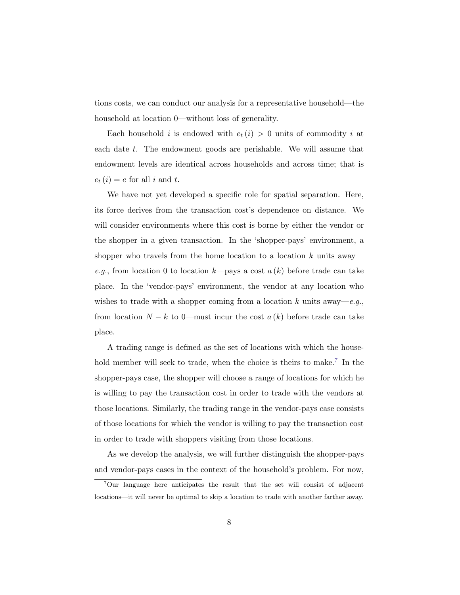tions costs, we can conduct our analysis for a representative household—the household at location 0—without loss of generality.

Each household i is endowed with  $e_t(i) > 0$  units of commodity i at each date t. The endowment goods are perishable. We will assume that endowment levels are identical across households and across time; that is  $e_t(i) = e$  for all i and t.

We have not yet developed a specific role for spatial separation. Here, its force derives from the transaction cost's dependence on distance. We will consider environments where this cost is borne by either the vendor or the shopper in a given transaction. In the 'shopper-pays' environment, a shopper who travels from the home location to a location  $k$  units away e.g., from location 0 to location k—pays a cost  $a(k)$  before trade can take place. In the 'vendor-pays' environment, the vendor at any location who wishes to trade with a shopper coming from a location k units away—e.g., from location  $N - k$  to 0—must incur the cost  $a(k)$  before trade can take place.

A trading range is defined as the set of locations with which the house-hold member will seek to trade, when the choice is theirs to make.<sup>[7](#page-7-0)</sup> In the shopper-pays case, the shopper will choose a range of locations for which he is willing to pay the transaction cost in order to trade with the vendors at those locations. Similarly, the trading range in the vendor-pays case consists of those locations for which the vendor is willing to pay the transaction cost in order to trade with shoppers visiting from those locations.

As we develop the analysis, we will further distinguish the shopper-pays and vendor-pays cases in the context of the household's problem. For now,

<span id="page-7-0"></span><sup>7</sup>Our language here anticipates the result that the set will consist of adjacent locations—it will never be optimal to skip a location to trade with another farther away.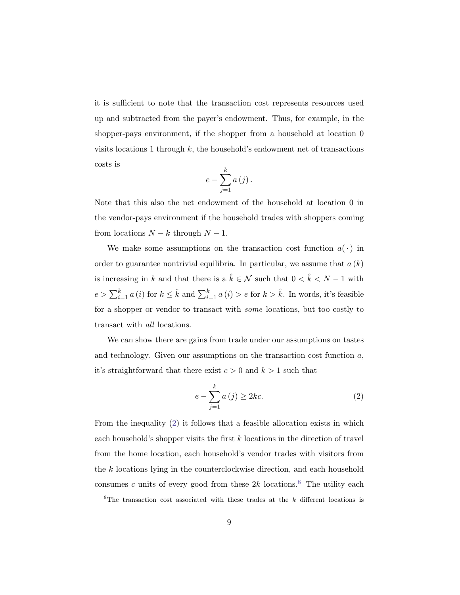it is sufficient to note that the transaction cost represents resources used up and subtracted from the payer's endowment. Thus, for example, in the shopper-pays environment, if the shopper from a household at location 0 visits locations 1 through  $k$ , the household's endowment net of transactions costs is

$$
e-\sum_{j=1}^{k}a\left( j\right) .
$$

Note that this also the net endowment of the household at location 0 in the vendor-pays environment if the household trades with shoppers coming from locations  $N - k$  through  $N - 1$ .

We make some assumptions on the transaction cost function  $a(\cdot)$  in order to guarantee nontrivial equilibria. In particular, we assume that  $a(k)$ is increasing in k and that there is a  $\hat{k} \in \mathcal{N}$  such that  $0 < \hat{k} < N - 1$  with  $e > \sum_{i=1}^{k} a(i)$  for  $k \leq \hat{k}$  and  $\sum_{i=1}^{k} a(i) > e$  for  $k > \hat{k}$ . In words, it's feasible for a shopper or vendor to transact with some locations, but too costly to transact with all locations.

We can show there are gains from trade under our assumptions on tastes and technology. Given our assumptions on the transaction cost function a, it's straightforward that there exist  $c > 0$  and  $k > 1$  such that

<span id="page-8-0"></span>
$$
e - \sum_{j=1}^{k} a(j) \ge 2kc.
$$
 (2)

From the inequality [\(2\)](#page-8-0) it follows that a feasible allocation exists in which each household's shopper visits the first k locations in the direction of travel from the home location, each household's vendor trades with visitors from the k locations lying in the counterclockwise direction, and each household consumes c units of every good from these  $2k$  locations.<sup>[8](#page-8-1)</sup> The utility each

<span id="page-8-1"></span><sup>&</sup>lt;sup>8</sup>The transaction cost associated with these trades at the  $k$  different locations is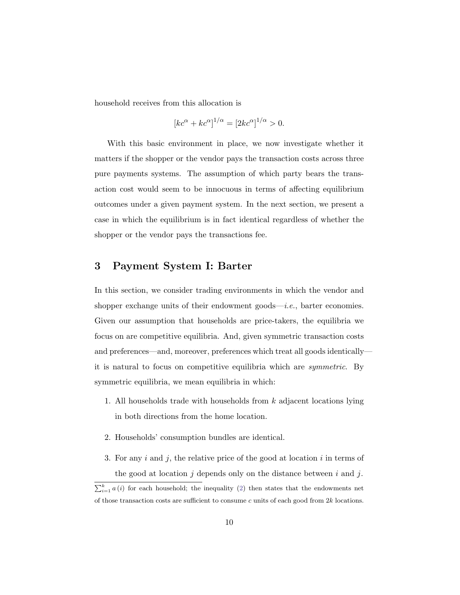household receives from this allocation is

$$
[kc^{\alpha} + kc^{\alpha}]^{1/\alpha} = [2kc^{\alpha}]^{1/\alpha} > 0.
$$

With this basic environment in place, we now investigate whether it matters if the shopper or the vendor pays the transaction costs across three pure payments systems. The assumption of which party bears the transaction cost would seem to be innocuous in terms of affecting equilibrium outcomes under a given payment system. In the next section, we present a case in which the equilibrium is in fact identical regardless of whether the shopper or the vendor pays the transactions fee.

### <span id="page-9-0"></span>3 Payment System I: Barter

In this section, we consider trading environments in which the vendor and shopper exchange units of their endowment goods—*i.e.*, barter economies. Given our assumption that households are price-takers, the equilibria we focus on are competitive equilibria. And, given symmetric transaction costs and preferences—and, moreover, preferences which treat all goods identically it is natural to focus on competitive equilibria which are symmetric. By symmetric equilibria, we mean equilibria in which:

- 1. All households trade with households from k adjacent locations lying in both directions from the home location.
- 2. Households' consumption bundles are identical.
- 3. For any  $i$  and  $j$ , the relative price of the good at location  $i$  in terms of the good at location  $j$  depends only on the distance between  $i$  and  $j$ .

 $\sum_{i=1}^{k} a(i)$  for each household; the inequality [\(2\)](#page-8-0) then states that the endowments net of those transaction costs are sufficient to consume  $c$  units of each good from  $2k$  locations.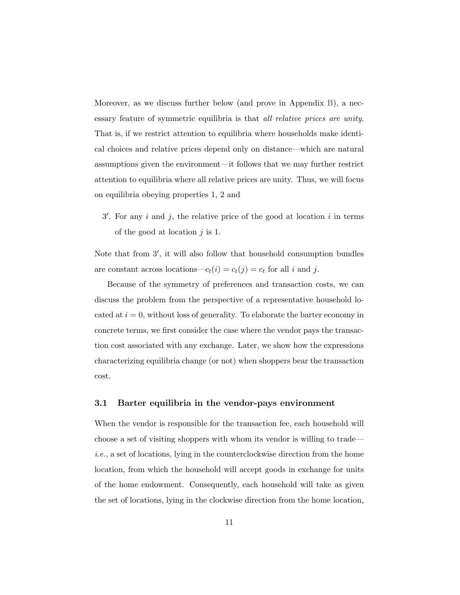Moreover, as we discuss further below (and prove in Appendix [B\)](#page-34-0), a necessary feature of symmetric equilibria is that all relative prices are unity. That is, if we restrict attention to equilibria where households make identical choices and relative prices depend only on distance—which are natural assumptions given the environment—it follows that we may further restrict attention to equilibria where all relative prices are unity. Thus, we will focus on equilibria obeying properties 1, 2 and

 $3'$ . For any i and j, the relative price of the good at location i in terms of the good at location  $j$  is 1.

Note that from 3', it will also follow that household consumption bundles are constant across locations— $c_t(i) = c_t(j) = c_t$  for all i and j.

Because of the symmetry of preferences and transaction costs, we can discuss the problem from the perspective of a representative household located at  $i = 0$ , without loss of generality. To elaborate the barter economy in concrete terms, we first consider the case where the vendor pays the transaction cost associated with any exchange. Later, we show how the expressions characterizing equilibria change (or not) when shoppers bear the transaction cost.

#### 3.1 Barter equilibria in the vendor-pays environment

When the vendor is responsible for the transaction fee, each household will choose a set of visiting shoppers with whom its vendor is willing to trade i.e., a set of locations, lying in the counterclockwise direction from the home location, from which the household will accept goods in exchange for units of the home endowment. Consequently, each household will take as given the set of locations, lying in the clockwise direction from the home location,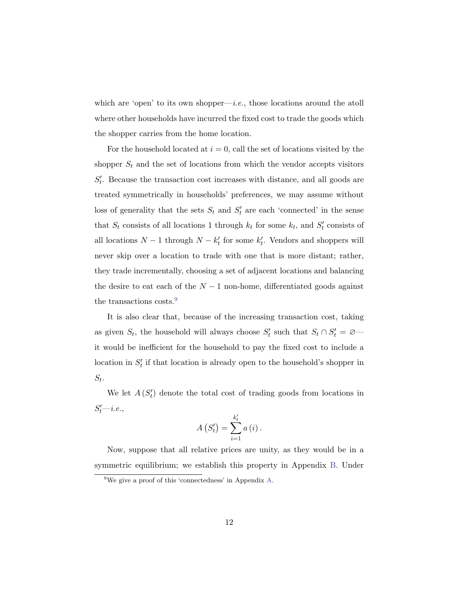which are 'open' to its own shopper—i.e., those locations around the atoll where other households have incurred the fixed cost to trade the goods which the shopper carries from the home location.

For the household located at  $i = 0$ , call the set of locations visited by the shopper  $S_t$  and the set of locations from which the vendor accepts visitors  $S_t'$ . Because the transaction cost increases with distance, and all goods are treated symmetrically in households' preferences, we may assume without loss of generality that the sets  $S_t$  and  $S'_t$  are each 'connected' in the sense that  $S_t$  consists of all locations 1 through  $k_t$  for some  $k_t$ , and  $S'_t$  consists of all locations  $N-1$  through  $N-k'_t$  for some  $k'_t$ . Vendors and shoppers will never skip over a location to trade with one that is more distant; rather, they trade incrementally, choosing a set of adjacent locations and balancing the desire to eat each of the  $N-1$  non-home, differentiated goods against the transactions costs.<sup>[9](#page-11-0)</sup>

It is also clear that, because of the increasing transaction cost, taking as given  $S_t$ , the household will always choose  $S'_t$  such that  $S_t \cap S'_t = \emptyset$  it would be inefficient for the household to pay the fixed cost to include a location in  $S_t'$  if that location is already open to the household's shopper in  $S_t$ .

We let  $A(S_t)$  denote the total cost of trading goods from locations in  $S'_t$ —*i.e.*,

$$
A(S'_{t}) = \sum_{i=1}^{k'_{t}} a(i).
$$

Now, suppose that all relative prices are unity, as they would be in a symmetric equilibrium; we establish this property in Appendix [B.](#page-34-0) Under

<span id="page-11-0"></span> $9^9$ We give a proof of this 'connectedness' in Appendix [A.](#page-33-4)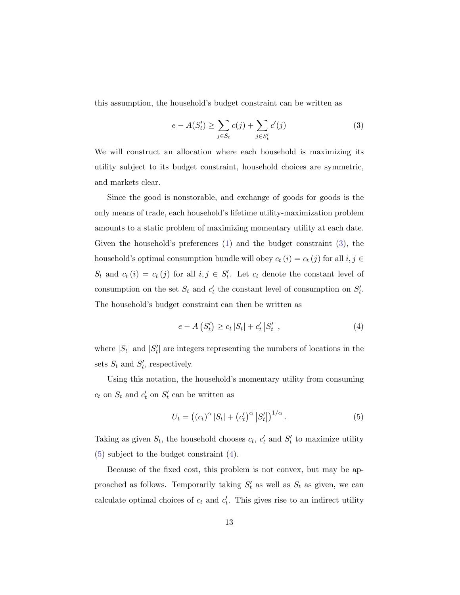this assumption, the household's budget constraint can be written as

<span id="page-12-0"></span>
$$
e - A(S'_t) \ge \sum_{j \in S_t} c(j) + \sum_{j \in S'_t} c'(j)
$$
 (3)

We will construct an allocation where each household is maximizing its utility subject to its budget constraint, household choices are symmetric, and markets clear.

Since the good is nonstorable, and exchange of goods for goods is the only means of trade, each household's lifetime utility-maximization problem amounts to a static problem of maximizing momentary utility at each date. Given the household's preferences [\(1\)](#page-6-0) and the budget constraint [\(3\)](#page-12-0), the household's optimal consumption bundle will obey  $c_t(i) = c_t(j)$  for all  $i, j \in$  $S_t$  and  $c_t(i) = c_t(j)$  for all  $i, j \in S'_t$ . Let  $c_t$  denote the constant level of consumption on the set  $S_t$  and  $c'_t$  the constant level of consumption on  $S'_t$ . The household's budget constraint can then be written as

<span id="page-12-2"></span>
$$
e - A(S'_t) \ge c_t |S_t| + c'_t |S'_t|,
$$
\n(4)

where  $|S_t|$  and  $|S'_t|$  are integers representing the numbers of locations in the sets  $S_t$  and  $S'_t$ , respectively.

Using this notation, the household's momentary utility from consuming  $c_t$  on  $S_t$  and  $c'_t$  on  $S'_t$  can be written as

<span id="page-12-1"></span>
$$
U_t = ((c_t)^{\alpha} |S_t| + (c'_t)^{\alpha} |S'_t|)^{1/\alpha}.
$$
\n
$$
(5)
$$

Taking as given  $S_t$ , the household chooses  $c_t$ ,  $c'_t$  and  $S'_t$  to maximize utility [\(5\)](#page-12-1) subject to the budget constraint [\(4\)](#page-12-2).

Because of the fixed cost, this problem is not convex, but may be approached as follows. Temporarily taking  $S_t'$  as well as  $S_t$  as given, we can calculate optimal choices of  $c_t$  and  $c'_t$ . This gives rise to an indirect utility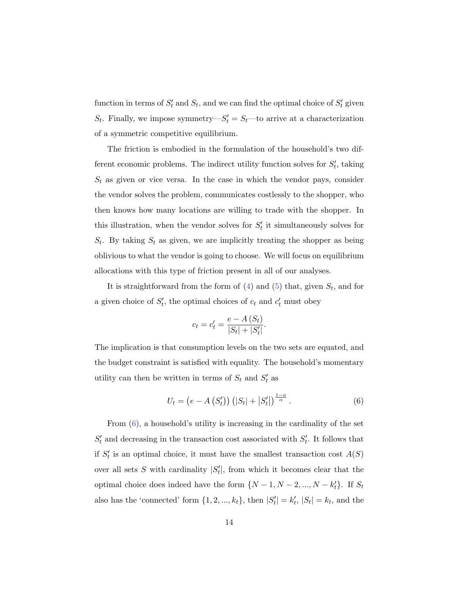function in terms of  $S_t'$  and  $S_t$ , and we can find the optimal choice of  $S_t'$  given  $S_t$ . Finally, we impose symmetry— $S'_t = S_t$ —to arrive at a characterization of a symmetric competitive equilibrium.

The friction is embodied in the formulation of the household's two different economic problems. The indirect utility function solves for  $S'_{t}$ , taking  $S_t$  as given or vice versa. In the case in which the vendor pays, consider the vendor solves the problem, communicates costlessly to the shopper, who then knows how many locations are willing to trade with the shopper. In this illustration, when the vendor solves for  $S_t'$  it simultaneously solves for  $S_t$ . By taking  $S_t$  as given, we are implicitly treating the shopper as being oblivious to what the vendor is going to choose. We will focus on equilibrium allocations with this type of friction present in all of our analyses.

It is straightforward from the form of  $(4)$  and  $(5)$  that, given  $S_t$ , and for a given choice of  $S'_t$ , the optimal choices of  $c_t$  and  $c'_t$  must obey

$$
c_t = c'_t = \frac{e - A(S_t)}{|S_t| + |S'_t|}.
$$

The implication is that consumption levels on the two sets are equated, and the budget constraint is satisfied with equality. The household's momentary utility can then be written in terms of  $S_t$  and  $S'_t$  as

<span id="page-13-0"></span>
$$
U_t = (e - A(S'_t)) (|S_t| + |S'_t|)^{\frac{1-\alpha}{\alpha}}.
$$
 (6)

From [\(6\)](#page-13-0), a household's utility is increasing in the cardinality of the set  $S_t'$  and decreasing in the transaction cost associated with  $S_t'$ . It follows that if  $S_t'$  is an optimal choice, it must have the smallest transaction cost  $A(S)$ over all sets S with cardinality  $|S'_t|$ , from which it becomes clear that the optimal choice does indeed have the form  $\{N-1, N-2, ..., N-k_t'\}$ . If  $S_t$ also has the 'connected' form  $\{1, 2, ..., k_t\}$ , then  $|S'_t| = k'_t$ ,  $|S_t| = k_t$ , and the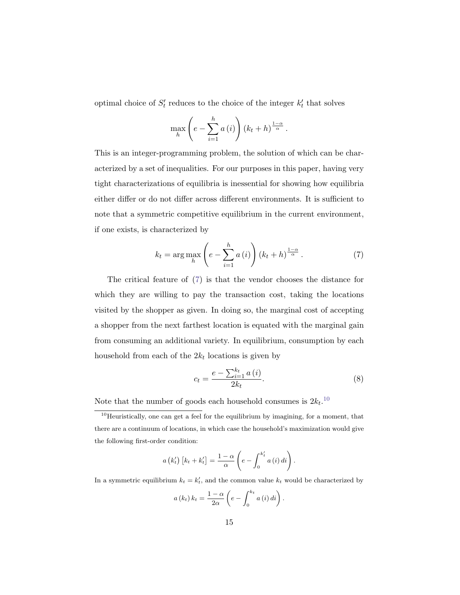optimal choice of  $S_t'$  reduces to the choice of the integer  $k_t'$  that solves

$$
\max_{h} \left(e - \sum_{i=1}^{h} a(i)\right) \left(k_t + h\right)^{\frac{1-\alpha}{\alpha}}.
$$

This is an integer-programming problem, the solution of which can be characterized by a set of inequalities. For our purposes in this paper, having very tight characterizations of equilibria is inessential for showing how equilibria either differ or do not differ across different environments. It is sufficient to note that a symmetric competitive equilibrium in the current environment, if one exists, is characterized by

<span id="page-14-0"></span>
$$
k_{t} = \arg \max_{h} \left( e - \sum_{i=1}^{h} a(i) \right) \left( k_{t} + h \right)^{\frac{1-\alpha}{\alpha}}.
$$
 (7)

The critical feature of [\(7\)](#page-14-0) is that the vendor chooses the distance for which they are willing to pay the transaction cost, taking the locations visited by the shopper as given. In doing so, the marginal cost of accepting a shopper from the next farthest location is equated with the marginal gain from consuming an additional variety. In equilibrium, consumption by each household from each of the  $2k_t$  locations is given by

<span id="page-14-2"></span>
$$
c_{t} = \frac{e - \sum_{i=1}^{k_{t}} a(i)}{2k_{t}}.
$$
\n(8)

.

Note that the number of goods each household consumes is  $2k_t$ .<sup>[10](#page-14-1)</sup>

$$
a\left(k'_t\right)\left[k_t+k'_t\right] = \frac{1-\alpha}{\alpha}\left(e - \int_0^{k'_t} a\left(i\right)di\right).
$$

In a symmetric equilibrium  $k_t = k'_t$ , and the common value  $k_t$  would be characterized by

$$
a(k_t) k_t = \frac{1-\alpha}{2\alpha} \left( e - \int_0^{k_t} a(i) \, di \right)
$$

<span id="page-14-1"></span> $10$ Heuristically, one can get a feel for the equilibrium by imagining, for a moment, that there are a continuum of locations, in which case the household's maximization would give the following first-order condition: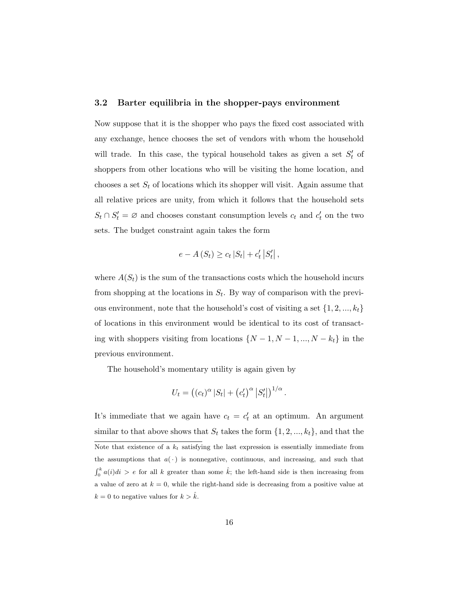#### 3.2 Barter equilibria in the shopper-pays environment

Now suppose that it is the shopper who pays the fixed cost associated with any exchange, hence chooses the set of vendors with whom the household will trade. In this case, the typical household takes as given a set  $S_t'$  of shoppers from other locations who will be visiting the home location, and chooses a set  $S_t$  of locations which its shopper will visit. Again assume that all relative prices are unity, from which it follows that the household sets  $S_t \cap S'_t = \emptyset$  and chooses constant consumption levels  $c_t$  and  $c'_t$  on the two sets. The budget constraint again takes the form

$$
e - A(S_t) \ge c_t |S_t| + c'_t |S'_t|,
$$

where  $A(S_t)$  is the sum of the transactions costs which the household incurs from shopping at the locations in  $S_t$ . By way of comparison with the previous environment, note that the household's cost of visiting a set  $\{1, 2, ..., k_t\}$ of locations in this environment would be identical to its cost of transacting with shoppers visiting from locations  $\{N-1, N-1, ..., N-k_t\}$  in the previous environment.

The household's momentary utility is again given by

$$
U_t = ((c_t)^{\alpha} |S_t| + (c'_t)^{\alpha} |S'_t|)^{1/\alpha}.
$$

It's immediate that we again have  $c_t = c'_t$  at an optimum. An argument similar to that above shows that  $S_t$  takes the form  $\{1, 2, ..., k_t\}$ , and that the Note that existence of a  $k_t$  satisfying the last expression is essentially immediate from the assumptions that  $a(\cdot)$  is nonnegative, continuous, and increasing, and such that  $\int_0^k a(i)di > e$  for all k greater than some  $\hat{k}$ ; the left-hand side is then increasing from a value of zero at  $k = 0$ , while the right-hand side is decreasing from a positive value at  $k = 0$  to negative values for  $k > \hat{k}$ .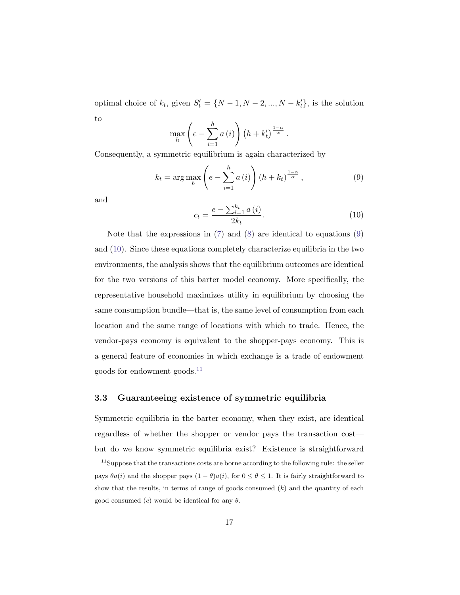optimal choice of  $k_t$ , given  $S'_t = \{N-1, N-2, ..., N-k'_t\}$ , is the solution to

$$
\max_{h} \left( e - \sum_{i=1}^{h} a(i) \right) \left( h + k'_t \right)^{\frac{1-\alpha}{\alpha}}.
$$

Consequently, a symmetric equilibrium is again characterized by

<span id="page-16-0"></span>
$$
k_{t} = \arg \max_{h} \left( e - \sum_{i=1}^{h} a(i) \right) \left( h + k_{t} \right)^{\frac{1-\alpha}{\alpha}}, \tag{9}
$$

and

<span id="page-16-1"></span>
$$
c_{t} = \frac{e - \sum_{i=1}^{k_{i}} a(i)}{2k_{t}}.
$$
\n(10)

Note that the expressions in [\(7\)](#page-14-0) and [\(8\)](#page-14-2) are identical to equations [\(9\)](#page-16-0) and [\(10\)](#page-16-1). Since these equations completely characterize equilibria in the two environments, the analysis shows that the equilibrium outcomes are identical for the two versions of this barter model economy. More specifically, the representative household maximizes utility in equilibrium by choosing the same consumption bundle—that is, the same level of consumption from each location and the same range of locations with which to trade. Hence, the vendor-pays economy is equivalent to the shopper-pays economy. This is a general feature of economies in which exchange is a trade of endowment goods for endowment goods. $^{11}$  $^{11}$  $^{11}$ 

#### 3.3 Guaranteeing existence of symmetric equilibria

Symmetric equilibria in the barter economy, when they exist, are identical regardless of whether the shopper or vendor pays the transaction cost but do we know symmetric equilibria exist? Existence is straightforward

<span id="page-16-2"></span><sup>&</sup>lt;sup>11</sup>Suppose that the transactions costs are borne according to the following rule: the seller pays  $\theta a(i)$  and the shopper pays  $(1 - \theta)a(i)$ , for  $0 \le \theta \le 1$ . It is fairly straightforward to show that the results, in terms of range of goods consumed  $(k)$  and the quantity of each good consumed (c) would be identical for any  $\theta$ .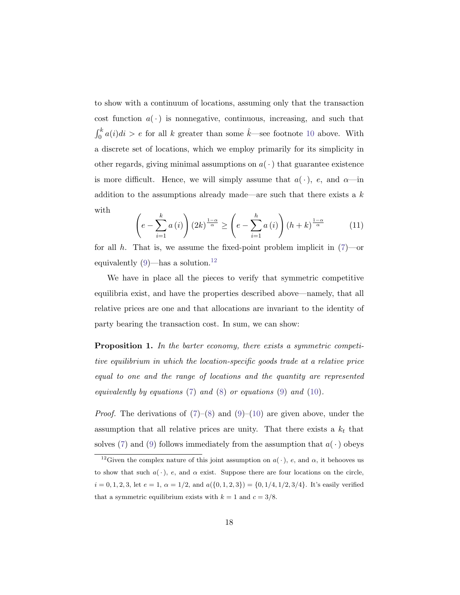to show with a continuum of locations, assuming only that the transaction cost function  $a(\cdot)$  is nonnegative, continuous, increasing, and such that  $\int_0^k a(i)di > e$  for all k greater than some  $\hat{k}$ —see footnote [10](#page-14-1) above. With a discrete set of locations, which we employ primarily for its simplicity in other regards, giving minimal assumptions on  $a(\cdot)$  that guarantee existence is more difficult. Hence, we will simply assume that  $a(\cdot)$ , e, and  $\alpha$ —in addition to the assumptions already made—are such that there exists a  $k$ with

<span id="page-17-1"></span>
$$
\left(e - \sum_{i=1}^{k} a(i)\right) \left(2k\right)^{\frac{1-\alpha}{\alpha}} \ge \left(e - \sum_{i=1}^{h} a(i)\right) \left(h + k\right)^{\frac{1-\alpha}{\alpha}} \tag{11}
$$

for all h. That is, we assume the fixed-point problem implicit in  $(7)$ —or equivalently  $(9)$ —has a solution.<sup>[12](#page-17-0)</sup>

We have in place all the pieces to verify that symmetric competitive equilibria exist, and have the properties described above—namely, that all relative prices are one and that allocations are invariant to the identity of party bearing the transaction cost. In sum, we can show:

Proposition 1. In the barter economy, there exists a symmetric competitive equilibrium in which the location-specific goods trade at a relative price equal to one and the range of locations and the quantity are represented equivalently by equations  $(7)$  and  $(8)$  or equations  $(9)$  and  $(10)$ .

*Proof.* The derivations of  $(7)-(8)$  $(7)-(8)$  $(7)-(8)$  and  $(9)-(10)$  $(9)-(10)$  $(9)-(10)$  are given above, under the assumption that all relative prices are unity. That there exists a  $k_t$  that solves [\(7\)](#page-14-0) and [\(9\)](#page-16-0) follows immediately from the assumption that  $a(\cdot)$  obeys

<span id="page-17-0"></span><sup>&</sup>lt;sup>12</sup>Given the complex nature of this joint assumption on  $a(\cdot)$ , e, and  $\alpha$ , it behooves us to show that such  $a(\cdot)$ , e, and  $\alpha$  exist. Suppose there are four locations on the circle,  $i = 0, 1, 2, 3$ , let  $e = 1$ ,  $\alpha = 1/2$ , and  $a({0, 1, 2, 3}) = {0, 1/4, 1/2, 3/4}$ . It's easily verified that a symmetric equilibrium exists with  $k = 1$  and  $c = 3/8$ .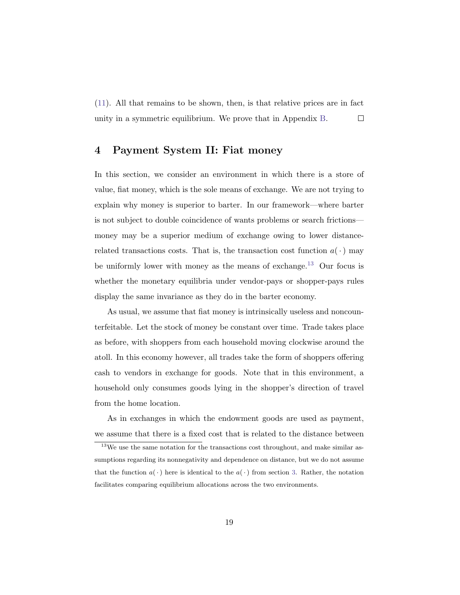[\(11\)](#page-17-1). All that remains to be shown, then, is that relative prices are in fact unity in a symmetric equilibrium. We prove that in Appendix [B.](#page-34-0)  $\Box$ 

## <span id="page-18-0"></span>4 Payment System II: Fiat money

In this section, we consider an environment in which there is a store of value, fiat money, which is the sole means of exchange. We are not trying to explain why money is superior to barter. In our framework—where barter is not subject to double coincidence of wants problems or search frictions money may be a superior medium of exchange owing to lower distancerelated transactions costs. That is, the transaction cost function  $a(\cdot)$  may be uniformly lower with money as the means of exchange.<sup>[13](#page-18-1)</sup> Our focus is whether the monetary equilibria under vendor-pays or shopper-pays rules display the same invariance as they do in the barter economy.

As usual, we assume that fiat money is intrinsically useless and noncounterfeitable. Let the stock of money be constant over time. Trade takes place as before, with shoppers from each household moving clockwise around the atoll. In this economy however, all trades take the form of shoppers offering cash to vendors in exchange for goods. Note that in this environment, a household only consumes goods lying in the shopper's direction of travel from the home location.

As in exchanges in which the endowment goods are used as payment, we assume that there is a fixed cost that is related to the distance between

<span id="page-18-1"></span><sup>&</sup>lt;sup>13</sup>We use the same notation for the transactions cost throughout, and make similar assumptions regarding its nonnegativity and dependence on distance, but we do not assume that the function  $a(\cdot)$  here is identical to the  $a(\cdot)$  from section [3.](#page-9-0) Rather, the notation facilitates comparing equilibrium allocations across the two environments.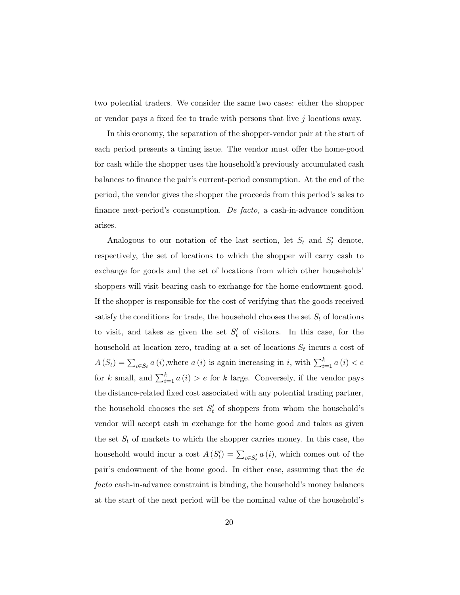two potential traders. We consider the same two cases: either the shopper or vendor pays a fixed fee to trade with persons that live  $j$  locations away.

In this economy, the separation of the shopper-vendor pair at the start of each period presents a timing issue. The vendor must offer the home-good for cash while the shopper uses the household's previously accumulated cash balances to finance the pair's current-period consumption. At the end of the period, the vendor gives the shopper the proceeds from this period's sales to finance next-period's consumption. De facto, a cash-in-advance condition arises.

Analogous to our notation of the last section, let  $S_t$  and  $S'_t$  denote, respectively, the set of locations to which the shopper will carry cash to exchange for goods and the set of locations from which other households' shoppers will visit bearing cash to exchange for the home endowment good. If the shopper is responsible for the cost of verifying that the goods received satisfy the conditions for trade, the household chooses the set  $S_t$  of locations to visit, and takes as given the set  $S_t'$  of visitors. In this case, for the household at location zero, trading at a set of locations  $S_t$  incurs a cost of  $A(S_t) = \sum_{i \in S_t} a(i)$ , where  $a(i)$  is again increasing in i, with  $\sum_{i=1}^{k} a(i) < e$ for k small, and  $\sum_{i=1}^{k} a(i) > e$  for k large. Conversely, if the vendor pays the distance-related fixed cost associated with any potential trading partner, the household chooses the set  $S_t'$  of shoppers from whom the household's vendor will accept cash in exchange for the home good and takes as given the set  $S_t$  of markets to which the shopper carries money. In this case, the household would incur a cost  $A(S_t') = \sum_{i \in S_t'} a(i)$ , which comes out of the pair's endowment of the home good. In either case, assuming that the de facto cash-in-advance constraint is binding, the household's money balances at the start of the next period will be the nominal value of the household's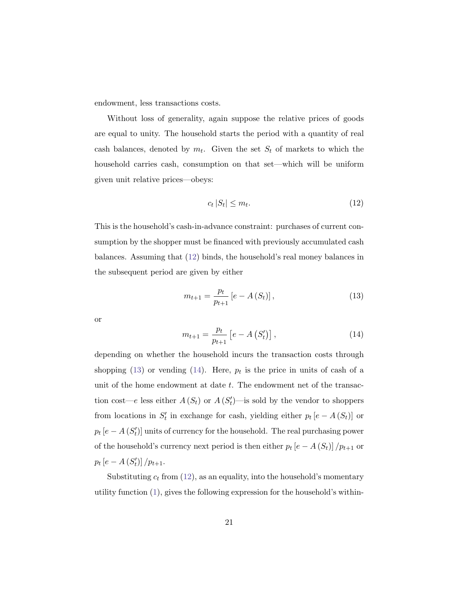endowment, less transactions costs.

Without loss of generality, again suppose the relative prices of goods are equal to unity. The household starts the period with a quantity of real cash balances, denoted by  $m_t$ . Given the set  $S_t$  of markets to which the household carries cash, consumption on that set—which will be uniform given unit relative prices—obeys:

<span id="page-20-0"></span>
$$
c_t |S_t| \le m_t. \tag{12}
$$

This is the household's cash-in-advance constraint: purchases of current consumption by the shopper must be financed with previously accumulated cash balances. Assuming that [\(12\)](#page-20-0) binds, the household's real money balances in the subsequent period are given by either

<span id="page-20-1"></span>
$$
m_{t+1} = \frac{p_t}{p_{t+1}} \left[ e - A\left(S_t\right) \right],\tag{13}
$$

or

<span id="page-20-2"></span>
$$
m_{t+1} = \frac{p_t}{p_{t+1}} \left[ e - A \left( S_t' \right) \right], \tag{14}
$$

depending on whether the household incurs the transaction costs through shopping [\(13\)](#page-20-1) or vending [\(14\)](#page-20-2). Here,  $p_t$  is the price in units of cash of a unit of the home endowment at date  $t$ . The endowment net of the transaction cost—e less either  $A(S_t)$  or  $A(S'_t)$ —is sold by the vendor to shoppers from locations in  $S'_t$  in exchange for cash, yielding either  $p_t$  [ $e - A(S_t)$ ] or  $p_t$  [ $e - A(S'_t)$ ] units of currency for the household. The real purchasing power of the household's currency next period is then either  $p_t$   $\left[e - A\left(S_t\right)\right]/p_{t+1}$  or  $p_t [e - A (S'_t)] / p_{t+1}.$ 

Substituting  $c_t$  from [\(12\)](#page-20-0), as an equality, into the household's momentary utility function [\(1\)](#page-6-0), gives the following expression for the household's within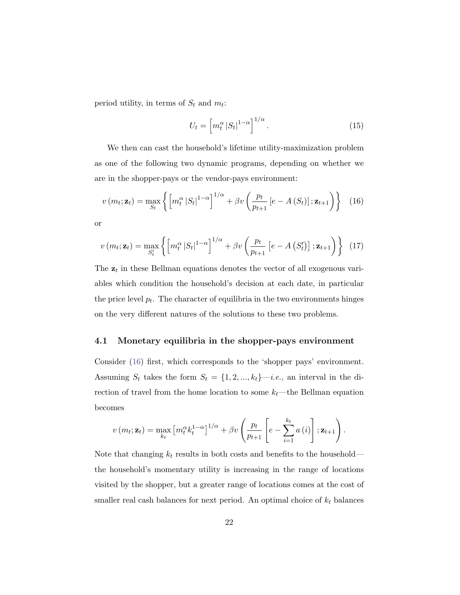period utility, in terms of  $S_t$  and  $m_t$ :

$$
U_t = \left[ m_t^{\alpha} \left| S_t \right|^{1-\alpha} \right]^{1/\alpha}.
$$
 (15)

We then can cast the household's lifetime utility-maximization problem as one of the following two dynamic programs, depending on whether we are in the shopper-pays or the vendor-pays environment:

<span id="page-21-0"></span>
$$
v(m_t; \mathbf{z}_t) = \max_{S_t} \left\{ \left[ m_t^{\alpha} \left| S_t \right|^{1-\alpha} \right]^{1/\alpha} + \beta v \left( \frac{p_t}{p_{t+1}} \left[ e - A \left( S_t \right) \right]; \mathbf{z}_{t+1} \right) \right\} \tag{16}
$$

or

<span id="page-21-1"></span>
$$
v(m_t; \mathbf{z}_t) = \max_{S'_t} \left\{ \left[ m_t^{\alpha} \left| S_t \right|^{1-\alpha} \right]^{1/\alpha} + \beta v \left( \frac{p_t}{p_{t+1}} \left[ e - A \left( S'_t \right) \right]; \mathbf{z}_{t+1} \right) \right\} \tag{17}
$$

The  $z_t$  in these Bellman equations denotes the vector of all exogenous variables which condition the household's decision at each date, in particular the price level  $p_t$ . The character of equilibria in the two environments hinges on the very different natures of the solutions to these two problems.

#### <span id="page-21-2"></span>4.1 Monetary equilibria in the shopper-pays environment

Consider [\(16\)](#page-21-0) first, which corresponds to the 'shopper pays' environment. Assuming  $S_t$  takes the form  $S_t = \{1, 2, ..., k_t\}$ —*i.e.*, an interval in the direction of travel from the home location to some  $k_t$ —the Bellman equation becomes

$$
v(m_t; \mathbf{z}_t) = \max_{k_t} \left[ m_t^{\alpha} k_t^{1-\alpha} \right]^{1/\alpha} + \beta v \left( \frac{p_t}{p_{t+1}} \left[ e - \sum_{i=1}^{k_t} a(i) \right]; \mathbf{z}_{t+1} \right).
$$

Note that changing  $k_t$  results in both costs and benefits to the household the household's momentary utility is increasing in the range of locations visited by the shopper, but a greater range of locations comes at the cost of smaller real cash balances for next period. An optimal choice of  $k_t$  balances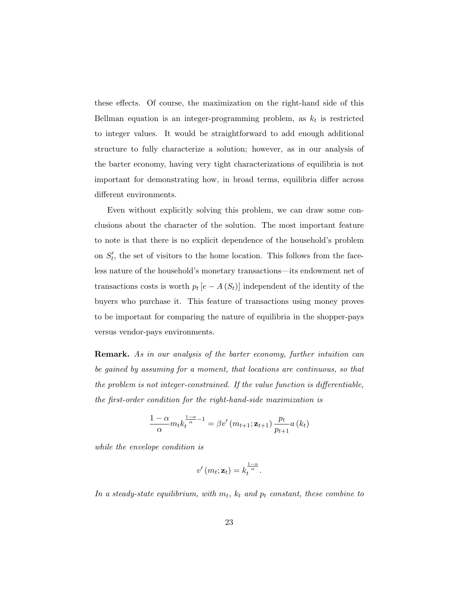these effects. Of course, the maximization on the right-hand side of this Bellman equation is an integer-programming problem, as  $k_t$  is restricted to integer values. It would be straightforward to add enough additional structure to fully characterize a solution; however, as in our analysis of the barter economy, having very tight characterizations of equilibria is not important for demonstrating how, in broad terms, equilibria differ across different environments.

Even without explicitly solving this problem, we can draw some conclusions about the character of the solution. The most important feature to note is that there is no explicit dependence of the household's problem on  $S_t'$ , the set of visitors to the home location. This follows from the faceless nature of the household's monetary transactions—its endowment net of transactions costs is worth  $p_t [e - A(S_t)]$  independent of the identity of the buyers who purchase it. This feature of transactions using money proves to be important for comparing the nature of equilibria in the shopper-pays versus vendor-pays environments.

Remark. As in our analysis of the barter economy, further intuition can be gained by assuming for a moment, that locations are continuous, so that the problem is not integer-constrained. If the value function is differentiable, the first-order condition for the right-hand-side maximization is

$$
\frac{1-\alpha}{\alpha}m_t k_t^{\frac{1-\alpha}{\alpha}-1} = \beta v' (m_{t+1}; \mathbf{z}_{t+1}) \frac{p_t}{p_{t+1}} a(k_t)
$$

while the envelope condition is

$$
v'(m_t; \mathbf{z}_t) = k_t^{\frac{1-\alpha}{\alpha}}.
$$

In a steady-state equilibrium, with  $m_t$ ,  $k_t$  and  $p_t$  constant, these combine to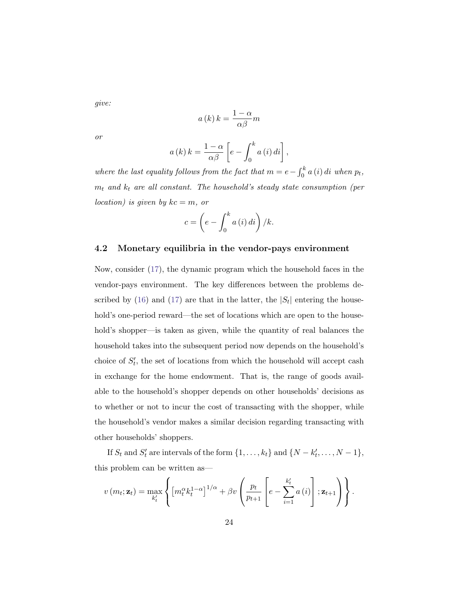give:

$$
a(k) k = \frac{1 - \alpha}{\alpha \beta} m
$$

or

$$
a(k) k = \frac{1-\alpha}{\alpha \beta} \left[ e - \int_0^k a(i) \, di \right],
$$

where the last equality follows from the fact that  $m = e - \int_0^k a(i) di$  when  $p_t$ ,  $m_t$  and  $k_t$  are all constant. The household's steady state consumption (per location) is given by  $kc = m$ , or

$$
c = \left(e - \int_0^k a(i) \, di\right) / k.
$$

#### 4.2 Monetary equilibria in the vendor-pays environment

Now, consider [\(17\)](#page-21-1), the dynamic program which the household faces in the vendor-pays environment. The key differences between the problems de-scribed by [\(16\)](#page-21-0) and [\(17\)](#page-21-1) are that in the latter, the  $|S_t|$  entering the household's one-period reward—the set of locations which are open to the household's shopper—is taken as given, while the quantity of real balances the household takes into the subsequent period now depends on the household's choice of  $S'_t$ , the set of locations from which the household will accept cash in exchange for the home endowment. That is, the range of goods available to the household's shopper depends on other households' decisions as to whether or not to incur the cost of transacting with the shopper, while the household's vendor makes a similar decision regarding transacting with other households' shoppers.

If  $S_t$  and  $S'_t$  are intervals of the form  $\{1, \ldots, k_t\}$  and  $\{N - k'_t, \ldots, N - 1\}$ , this problem can be written as—

$$
v(m_t; \mathbf{z}_t) = \max_{k'_t} \left\{ \left[ m_t^{\alpha} k_t^{1-\alpha} \right]^{1/\alpha} + \beta v \left( \frac{p_t}{p_{t+1}} \left[ e - \sum_{i=1}^{k'_t} a(i) \right]; \mathbf{z}_{t+1} \right) \right\}.
$$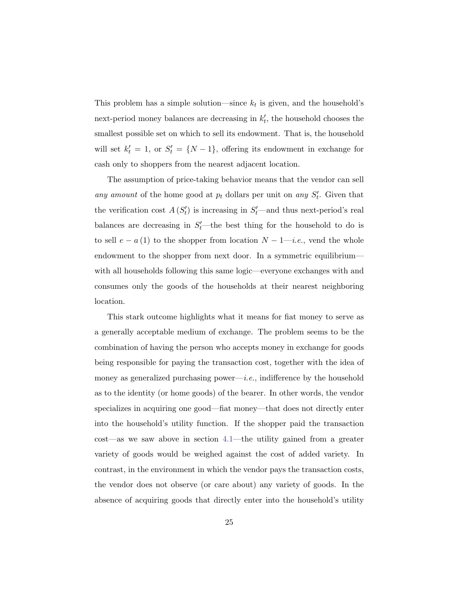This problem has a simple solution—since  $k_t$  is given, and the household's next-period money balances are decreasing in  $k'_t$ , the household chooses the smallest possible set on which to sell its endowment. That is, the household will set  $k'_t = 1$ , or  $S'_t = \{N-1\}$ , offering its endowment in exchange for cash only to shoppers from the nearest adjacent location.

The assumption of price-taking behavior means that the vendor can sell any amount of the home good at  $p_t$  dollars per unit on any  $S'_t$ . Given that the verification cost  $A(S_t')$  is increasing in  $S_t'$ —and thus next-period's real balances are decreasing in  $S_t'$ —the best thing for the household to do is to sell  $e - a(1)$  to the shopper from location  $N - 1$ —*i.e.*, vend the whole endowment to the shopper from next door. In a symmetric equilibrium with all households following this same logic—everyone exchanges with and consumes only the goods of the households at their nearest neighboring location.

This stark outcome highlights what it means for fiat money to serve as a generally acceptable medium of exchange. The problem seems to be the combination of having the person who accepts money in exchange for goods being responsible for paying the transaction cost, together with the idea of money as generalized purchasing power—i.e., indifference by the household as to the identity (or home goods) of the bearer. In other words, the vendor specializes in acquiring one good—fiat money—that does not directly enter into the household's utility function. If the shopper paid the transaction cost—as we saw above in section [4.1—](#page-21-2)the utility gained from a greater variety of goods would be weighed against the cost of added variety. In contrast, in the environment in which the vendor pays the transaction costs, the vendor does not observe (or care about) any variety of goods. In the absence of acquiring goods that directly enter into the household's utility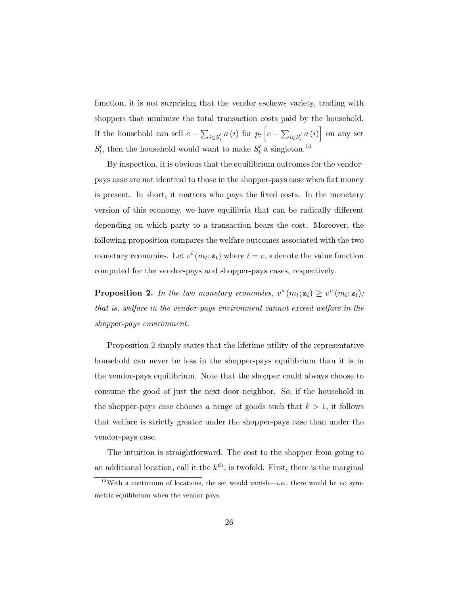function, it is not surprising that the vendor eschews variety, trading with shoppers that minimize the total transaction costs paid by the household. If the household can sell  $e - \sum_{i \in S_i'} a(i)$  for  $p_t \left[ e - \sum_{i \in S_i'} a(i) \right]$  on any set  $S_t'$ , then the household would want to make  $S_t'$  a singleton.<sup>[14](#page-25-0)</sup>

By inspection, it is obvious that the equilibrium outcomes for the vendorpays case are not identical to those in the shopper-pays case when fiat money is present. In short, it matters who pays the fixed costs. In the monetary version of this economy, we have equilibria that can be radically different depending on which party to a transaction bears the cost. Moreover, the following proposition compares the welfare outcomes associated with the two monetary economies. Let  $v^i(m_t; \mathbf{z}_t)$  where  $i = v, s$  denote the value function computed for the vendor-pays and shopper-pays cases, respectively.

<span id="page-25-1"></span>**Proposition 2.** In the two monetary economies,  $v^s(m_t; \mathbf{z}_t) \geq v^v(m_t; \mathbf{z}_t);$ that is, welfare in the vendor-pays environment cannot exceed welfare in the shopper-pays environment.

Proposition [2](#page-25-1) simply states that the lifetime utility of the representative household can never be less in the shopper-pays equilibrium than it is in the vendor-pays equilibrium. Note that the shopper could always choose to consume the good of just the next-door neighbor. So, if the household in the shopper-pays case chooses a range of goods such that  $k > 1$ , it follows that welfare is strictly greater under the shopper-pays case than under the vendor-pays case.

The intuition is straightforward. The cost to the shopper from going to an additional location, call it the  $k^{\text{th}}$ , is twofold. First, there is the marginal

<span id="page-25-0"></span><sup>&</sup>lt;sup>14</sup>With a continuum of locations, the set would vanish—*i.e.*, there would be no symmetric equilibrium when the vendor pays.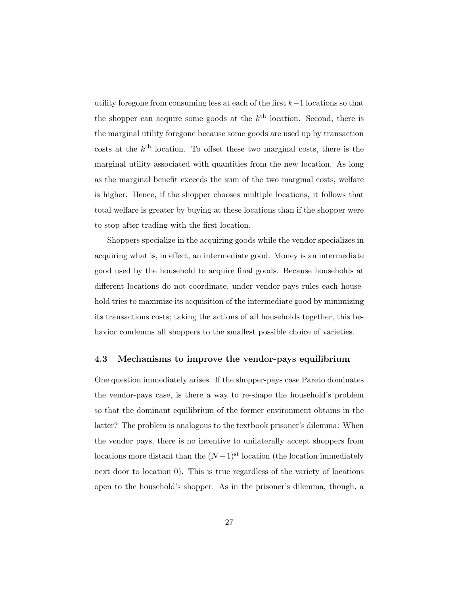utility foregone from consuming less at each of the first k−1 locations so that the shopper can acquire some goods at the  $k^{\text{th}}$  location. Second, there is the marginal utility foregone because some goods are used up by transaction costs at the  $k^{\text{th}}$  location. To offset these two marginal costs, there is the marginal utility associated with quantities from the new location. As long as the marginal benefit exceeds the sum of the two marginal costs, welfare is higher. Hence, if the shopper chooses multiple locations, it follows that total welfare is greater by buying at these locations than if the shopper were to stop after trading with the first location.

Shoppers specialize in the acquiring goods while the vendor specializes in acquiring what is, in effect, an intermediate good. Money is an intermediate good used by the household to acquire final goods. Because households at different locations do not coordinate, under vendor-pays rules each household tries to maximize its acquisition of the intermediate good by minimizing its transactions costs; taking the actions of all households together, this behavior condemns all shoppers to the smallest possible choice of varieties.

#### 4.3 Mechanisms to improve the vendor-pays equilibrium

One question immediately arises. If the shopper-pays case Pareto dominates the vendor-pays case, is there a way to re-shape the household's problem so that the dominant equilibrium of the former environment obtains in the latter? The problem is analogous to the textbook prisoner's dilemma: When the vendor pays, there is no incentive to unilaterally accept shoppers from locations more distant than the  $(N-1)$ <sup>st</sup> location (the location immediately next door to location 0). This is true regardless of the variety of locations open to the household's shopper. As in the prisoner's dilemma, though, a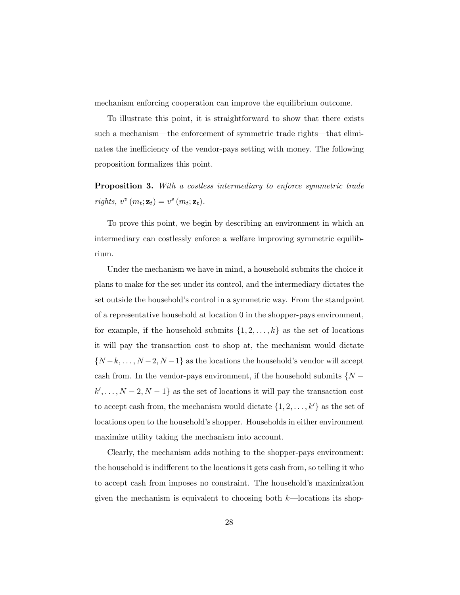mechanism enforcing cooperation can improve the equilibrium outcome.

To illustrate this point, it is straightforward to show that there exists such a mechanism—the enforcement of symmetric trade rights—that eliminates the inefficiency of the vendor-pays setting with money. The following proposition formalizes this point.

**Proposition 3.** With a costless intermediary to enforce symmetric trade rights,  $v^v(m_t; \mathbf{z}_t) = v^s(m_t; \mathbf{z}_t)$ .

To prove this point, we begin by describing an environment in which an intermediary can costlessly enforce a welfare improving symmetric equilibrium.

Under the mechanism we have in mind, a household submits the choice it plans to make for the set under its control, and the intermediary dictates the set outside the household's control in a symmetric way. From the standpoint of a representative household at location 0 in the shopper-pays environment, for example, if the household submits  $\{1, 2, \ldots, k\}$  as the set of locations it will pay the transaction cost to shop at, the mechanism would dictate  $\{N-k,\ldots,N-2,N-1\}$  as the locations the household's vendor will accept cash from. In the vendor-pays environment, if the household submits  $\{N$  $k', \ldots, N-2, N-1$  as the set of locations it will pay the transaction cost to accept cash from, the mechanism would dictate  $\{1, 2, \ldots, k'\}$  as the set of locations open to the household's shopper. Households in either environment maximize utility taking the mechanism into account.

Clearly, the mechanism adds nothing to the shopper-pays environment: the household is indifferent to the locations it gets cash from, so telling it who to accept cash from imposes no constraint. The household's maximization given the mechanism is equivalent to choosing both  $k$ —locations its shop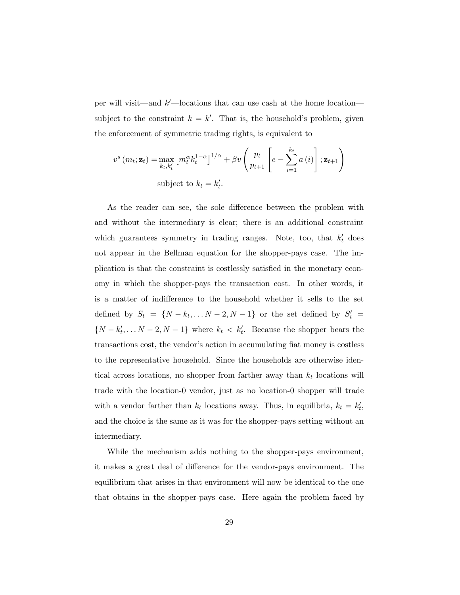per will visit—and  $k'$ —locations that can use cash at the home location subject to the constraint  $k = k'$ . That is, the household's problem, given the enforcement of symmetric trading rights, is equivalent to

$$
v^{s}(m_{t}; \mathbf{z}_{t}) = \max_{k_{t}, k_{t}'} [m_{t}^{\alpha} k_{t}^{1-\alpha}]^{1/\alpha} + \beta v \left(\frac{p_{t}}{p_{t+1}} \left[e - \sum_{i=1}^{k_{t}} a(i)\right]; \mathbf{z}_{t+1}\right)
$$
  
subject to  $k_{t} = k_{t}'$ .

As the reader can see, the sole difference between the problem with and without the intermediary is clear; there is an additional constraint which guarantees symmetry in trading ranges. Note, too, that  $k'_t$  does not appear in the Bellman equation for the shopper-pays case. The implication is that the constraint is costlessly satisfied in the monetary economy in which the shopper-pays the transaction cost. In other words, it is a matter of indifference to the household whether it sells to the set defined by  $S_t = \{N - k_t, \ldots N - 2, N - 1\}$  or the set defined by  $S'_t =$  $\{N - k'_t, \ldots N - 2, N - 1\}$  where  $k_t < k'_t$ . Because the shopper bears the transactions cost, the vendor's action in accumulating fiat money is costless to the representative household. Since the households are otherwise identical across locations, no shopper from farther away than  $k_t$  locations will trade with the location-0 vendor, just as no location-0 shopper will trade with a vendor farther than  $k_t$  locations away. Thus, in equilibria,  $k_t = k'_t$ , and the choice is the same as it was for the shopper-pays setting without an intermediary.

While the mechanism adds nothing to the shopper-pays environment, it makes a great deal of difference for the vendor-pays environment. The equilibrium that arises in that environment will now be identical to the one that obtains in the shopper-pays case. Here again the problem faced by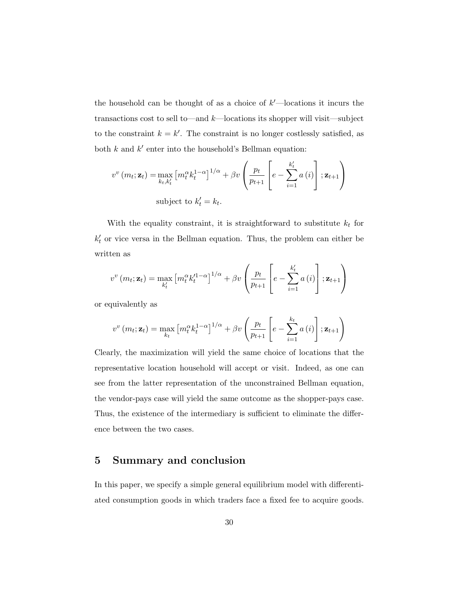the household can be thought of as a choice of  $k'$ —locations it incurs the transactions cost to sell to—and  $k$ —locations its shopper will visit—subject to the constraint  $k = k'$ . The constraint is no longer costlessly satisfied, as both  $k$  and  $k'$  enter into the household's Bellman equation:

$$
v^{v}(m_{t}; \mathbf{z}_{t}) = \max_{k_{t}, k_{t}'} [m_{t}^{\alpha} k_{t}^{1-\alpha}]^{1/\alpha} + \beta v \left(\frac{p_{t}}{p_{t+1}} \left[e - \sum_{i=1}^{k_{t}'} a(i)\right]; \mathbf{z}_{t+1}\right)
$$
  
subject to  $k_{t}' = k_{t}$ .

With the equality constraint, it is straightforward to substitute  $k_t$  for  $k_t'$  or vice versa in the Bellman equation. Thus, the problem can either be written as

$$
v^{v}(m_{t}; \mathbf{z}_{t}) = \max_{k'_{t}} \left[ m_{t}^{\alpha} k_{t}^{\prime 1-\alpha} \right]^{1/\alpha} + \beta v \left( \frac{p_{t}}{p_{t+1}} \left[ e - \sum_{i=1}^{k'_{t}} a(i) \right]; \mathbf{z}_{t+1} \right)
$$

or equivalently as

$$
v^{v}(m_{t}; \mathbf{z}_{t}) = \max_{k_{t}} \left[ m_{t}^{\alpha} k_{t}^{1-\alpha} \right]^{1/\alpha} + \beta v \left( \frac{p_{t}}{p_{t+1}} \left[ e - \sum_{i=1}^{k_{t}} a(i) \right]; \mathbf{z}_{t+1} \right)
$$

Clearly, the maximization will yield the same choice of locations that the representative location household will accept or visit. Indeed, as one can see from the latter representation of the unconstrained Bellman equation, the vendor-pays case will yield the same outcome as the shopper-pays case. Thus, the existence of the intermediary is sufficient to eliminate the difference between the two cases.

## <span id="page-29-0"></span>5 Summary and conclusion

In this paper, we specify a simple general equilibrium model with differentiated consumption goods in which traders face a fixed fee to acquire goods.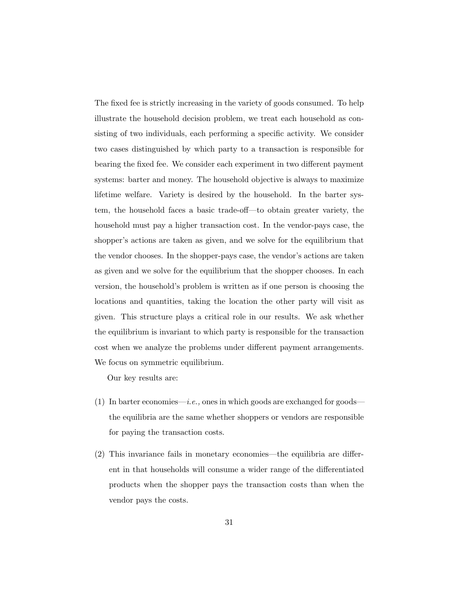The fixed fee is strictly increasing in the variety of goods consumed. To help illustrate the household decision problem, we treat each household as consisting of two individuals, each performing a specific activity. We consider two cases distinguished by which party to a transaction is responsible for bearing the fixed fee. We consider each experiment in two different payment systems: barter and money. The household objective is always to maximize lifetime welfare. Variety is desired by the household. In the barter system, the household faces a basic trade-off—to obtain greater variety, the household must pay a higher transaction cost. In the vendor-pays case, the shopper's actions are taken as given, and we solve for the equilibrium that the vendor chooses. In the shopper-pays case, the vendor's actions are taken as given and we solve for the equilibrium that the shopper chooses. In each version, the household's problem is written as if one person is choosing the locations and quantities, taking the location the other party will visit as given. This structure plays a critical role in our results. We ask whether the equilibrium is invariant to which party is responsible for the transaction cost when we analyze the problems under different payment arrangements. We focus on symmetric equilibrium.

Our key results are:

- (1) In barter economies—*i.e.*, ones in which goods are exchanged for goods the equilibria are the same whether shoppers or vendors are responsible for paying the transaction costs.
- (2) This invariance fails in monetary economies—the equilibria are different in that households will consume a wider range of the differentiated products when the shopper pays the transaction costs than when the vendor pays the costs.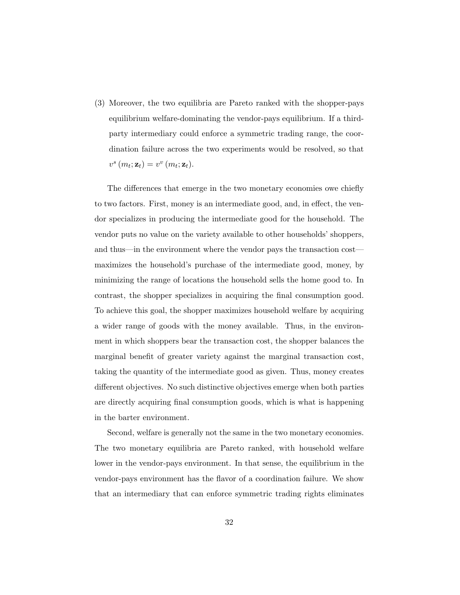(3) Moreover, the two equilibria are Pareto ranked with the shopper-pays equilibrium welfare-dominating the vendor-pays equilibrium. If a thirdparty intermediary could enforce a symmetric trading range, the coordination failure across the two experiments would be resolved, so that  $v^s(m_t; \mathbf{z}_t) = v^v(m_t; \mathbf{z}_t).$ 

The differences that emerge in the two monetary economies owe chiefly to two factors. First, money is an intermediate good, and, in effect, the vendor specializes in producing the intermediate good for the household. The vendor puts no value on the variety available to other households' shoppers, and thus—in the environment where the vendor pays the transaction cost maximizes the household's purchase of the intermediate good, money, by minimizing the range of locations the household sells the home good to. In contrast, the shopper specializes in acquiring the final consumption good. To achieve this goal, the shopper maximizes household welfare by acquiring a wider range of goods with the money available. Thus, in the environment in which shoppers bear the transaction cost, the shopper balances the marginal benefit of greater variety against the marginal transaction cost, taking the quantity of the intermediate good as given. Thus, money creates different objectives. No such distinctive objectives emerge when both parties are directly acquiring final consumption goods, which is what is happening in the barter environment.

Second, welfare is generally not the same in the two monetary economies. The two monetary equilibria are Pareto ranked, with household welfare lower in the vendor-pays environment. In that sense, the equilibrium in the vendor-pays environment has the flavor of a coordination failure. We show that an intermediary that can enforce symmetric trading rights eliminates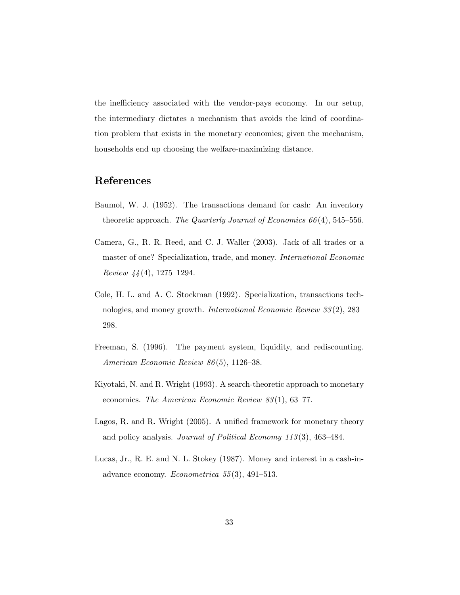the inefficiency associated with the vendor-pays economy. In our setup, the intermediary dictates a mechanism that avoids the kind of coordination problem that exists in the monetary economies; given the mechanism, households end up choosing the welfare-maximizing distance.

# References

- <span id="page-32-1"></span>Baumol, W. J. (1952). The transactions demand for cash: An inventory theoretic approach. The Quarterly Journal of Economics  $66(4)$ , 545–556.
- <span id="page-32-3"></span>Camera, G., R. R. Reed, and C. J. Waller (2003). Jack of all trades or a master of one? Specialization, trade, and money. International Economic Review  $44(4)$ , 1275–1294.
- <span id="page-32-2"></span>Cole, H. L. and A. C. Stockman (1992). Specialization, transactions technologies, and money growth. International Economic Review 33 (2), 283– 298.
- <span id="page-32-6"></span>Freeman, S. (1996). The payment system, liquidity, and rediscounting. American Economic Review 86 (5), 1126–38.
- <span id="page-32-4"></span>Kiyotaki, N. and R. Wright (1993). A search-theoretic approach to monetary economics. The American Economic Review 83(1), 63–77.
- <span id="page-32-5"></span>Lagos, R. and R. Wright (2005). A unified framework for monetary theory and policy analysis. Journal of Political Economy 113 (3), 463–484.
- <span id="page-32-0"></span>Lucas, Jr., R. E. and N. L. Stokey (1987). Money and interest in a cash-inadvance economy. Econometrica  $55(3)$ , 491–513.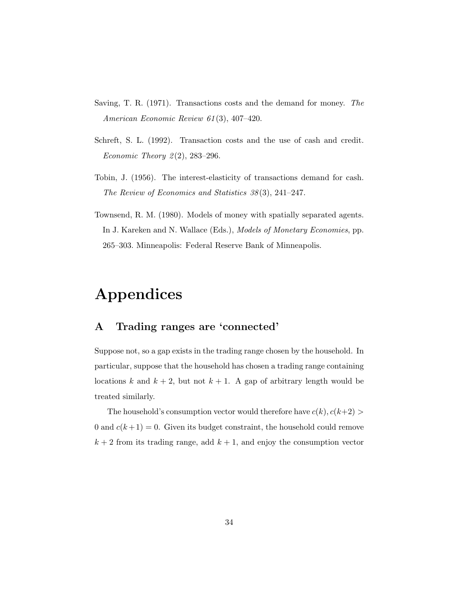- <span id="page-33-2"></span>Saving, T. R. (1971). Transactions costs and the demand for money. The American Economic Review 61 (3), 407–420.
- <span id="page-33-3"></span>Schreft, S. L. (1992). Transaction costs and the use of cash and credit. Economic Theory  $2(2)$ , 283-296.
- <span id="page-33-1"></span>Tobin, J. (1956). The interest-elasticity of transactions demand for cash. The Review of Economics and Statistics 38 (3), 241–247.
- <span id="page-33-0"></span>Townsend, R. M. (1980). Models of money with spatially separated agents. In J. Kareken and N. Wallace (Eds.), *Models of Monetary Economies*, pp. 265–303. Minneapolis: Federal Reserve Bank of Minneapolis.

# Appendices

# <span id="page-33-4"></span>A Trading ranges are 'connected'

Suppose not, so a gap exists in the trading range chosen by the household. In particular, suppose that the household has chosen a trading range containing locations k and  $k + 2$ , but not  $k + 1$ . A gap of arbitrary length would be treated similarly.

The household's consumption vector would therefore have  $c(k), c(k+2)$ 0 and  $c(k+1) = 0$ . Given its budget constraint, the household could remove  $k + 2$  from its trading range, add  $k + 1$ , and enjoy the consumption vector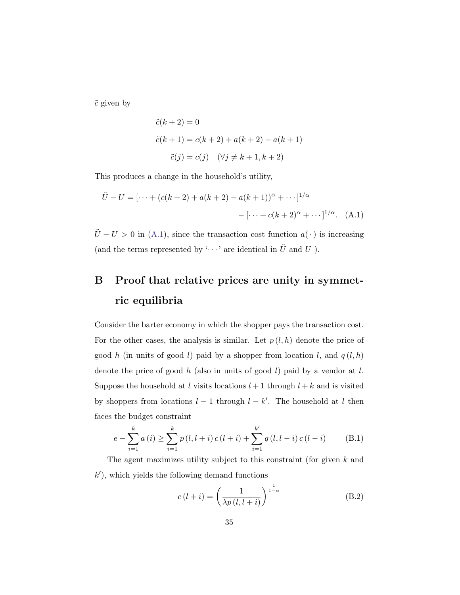$\tilde{c}$  given by

<span id="page-34-1"></span>
$$
\tilde{c}(k+2) = 0
$$
  
\n
$$
\tilde{c}(k+1) = c(k+2) + a(k+2) - a(k+1)
$$
  
\n
$$
\tilde{c}(j) = c(j) \quad (\forall j \neq k+1, k+2)
$$

This produces a change in the household's utility,

$$
\tilde{U} - U = [\dots + (c(k+2) + a(k+2) - a(k+1))^{\alpha} + \dots]^{1/\alpha}
$$

$$
- [\dots + c(k+2)^{\alpha} + \dots]^{1/\alpha}. \quad (A.1)
$$

 $\tilde{U} - U > 0$  in [\(A.1\)](#page-34-1), since the transaction cost function  $a(\cdot)$  is increasing (and the terms represented by ' $\cdots$ ' are identical in  $\tilde{U}$  and  $U$ ).

# <span id="page-34-0"></span>B Proof that relative prices are unity in symmetric equilibria

Consider the barter economy in which the shopper pays the transaction cost. For the other cases, the analysis is similar. Let  $p(l, h)$  denote the price of good h (in units of good l) paid by a shopper from location l, and  $q(l, h)$ denote the price of good  $h$  (also in units of good  $l$ ) paid by a vendor at  $l$ . Suppose the household at l visits locations  $l + 1$  through  $l + k$  and is visited by shoppers from locations  $l-1$  through  $l-k'$ . The household at l then faces the budget constraint

<span id="page-34-3"></span>
$$
e - \sum_{i=1}^{k} a(i) \ge \sum_{i=1}^{k} p(l, l+i) c(l+i) + \sum_{i=1}^{k'} q(l, l-i) c(l-i)
$$
 (B.1)

The agent maximizes utility subject to this constraint (for given k and  $k'$ ), which yields the following demand functions

<span id="page-34-2"></span>
$$
c(l+i) = \left(\frac{1}{\lambda p(l, l+i)}\right)^{\frac{1}{1-\alpha}}
$$
(B.2)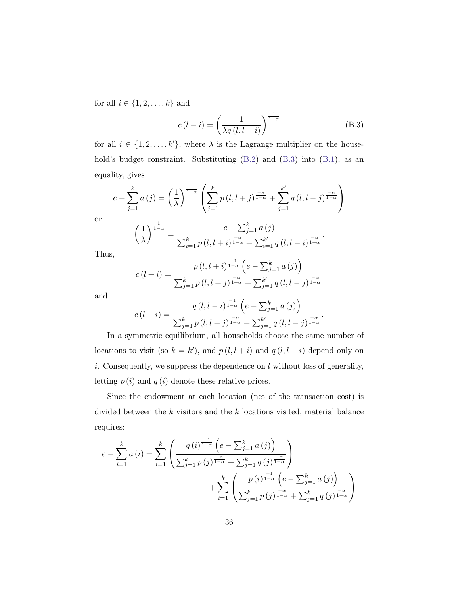for all  $i \in \{1, 2, \ldots, k\}$  and

<span id="page-35-0"></span>
$$
c(l-i) = \left(\frac{1}{\lambda q(l, l-i)}\right)^{\frac{1}{1-\alpha}}
$$
(B.3)

for all  $i \in \{1, 2, \ldots, k'\}$ , where  $\lambda$  is the Lagrange multiplier on the household's budget constraint. Substituting  $(B.2)$  and  $(B.3)$  into  $(B.1)$ , as an equality, gives

$$
e - \sum_{j=1}^{k} a(j) = \left(\frac{1}{\lambda}\right)^{\frac{1}{1-\alpha}} \left(\sum_{j=1}^{k} p(l, l+j)^{\frac{-\alpha}{1-\alpha}} + \sum_{j=1}^{k'} q(l, l-j)^{\frac{-\alpha}{1-\alpha}}\right)
$$

$$
\left(\frac{1}{\lambda}\right)^{\frac{1}{1-\alpha}} = \frac{e - \sum_{j=1}^{k} a(j)}{\sum_{i=1}^{k} p(l, l+i)^{\frac{-\alpha}{1-\alpha}} + \sum_{i=1}^{k'} q(l, l-i)^{\frac{-\alpha}{1-\alpha}}}.
$$

Thus,

or

$$
c(l+i) = \frac{p(l, l+i)^{\frac{-1}{1-\alpha}} \left(e - \sum_{j=1}^{k} a(j)\right)}{\sum_{j=1}^{k} p(l, l+j)^{\frac{-\alpha}{1-\alpha}} + \sum_{j=1}^{k'} q(l, l-j)^{\frac{-\alpha}{1-\alpha}}}
$$

and

$$
c(l-i) = \frac{q(l, l-i)^{\frac{-1}{1-\alpha}} \left(e - \sum_{j=1}^{k} a(j)\right)}{\sum_{j=1}^{k} p(l, l+j)^{\frac{-\alpha}{1-\alpha}} + \sum_{j=1}^{k'} q(l, l-j)^{\frac{-\alpha}{1-\alpha}}}.
$$

In a symmetric equilibrium, all households choose the same number of locations to visit (so  $k = k'$ ), and  $p(l, l + i)$  and  $q(l, l - i)$  depend only on  $i.$  Consequently, we suppress the dependence on  $l$  without loss of generality, letting  $p(i)$  and  $q(i)$  denote these relative prices.

Since the endowment at each location (net of the transaction cost) is divided between the k visitors and the k locations visited, material balance requires:

$$
e - \sum_{i=1}^{k} a(i) = \sum_{i=1}^{k} \left( \frac{q(i)^{\frac{-1}{1-\alpha}} \left( e - \sum_{j=1}^{k} a(j) \right)}{\sum_{j=1}^{k} p(j)^{\frac{-\alpha}{1-\alpha}} + \sum_{j=1}^{k} q(j)^{\frac{-\alpha}{1-\alpha}}} \right) + \sum_{i=1}^{k} \left( \frac{p(i)^{\frac{-1}{1-\alpha}} \left( e - \sum_{j=1}^{k} a(j) \right)}{\sum_{j=1}^{k} p(j)^{\frac{-\alpha}{1-\alpha}} + \sum_{j=1}^{k} q(j)^{\frac{-\alpha}{1-\alpha}}} \right)
$$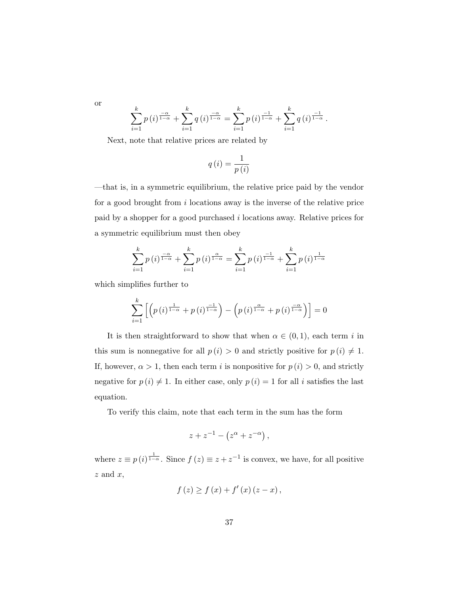or

$$
\sum_{i=1}^{k} p(i)^{\frac{-\alpha}{1-\alpha}} + \sum_{i=1}^{k} q(i)^{\frac{-\alpha}{1-\alpha}} = \sum_{i=1}^{k} p(i)^{\frac{-1}{1-\alpha}} + \sum_{i=1}^{k} q(i)^{\frac{-1}{1-\alpha}}.
$$

Next, note that relative prices are related by

$$
q\left(i\right) = \frac{1}{p\left(i\right)}
$$

—that is, in a symmetric equilibrium, the relative price paid by the vendor for a good brought from  $i$  locations away is the inverse of the relative price paid by a shopper for a good purchased i locations away. Relative prices for a symmetric equilibrium must then obey

$$
\sum_{i=1}^{k} p(i)^{\frac{-\alpha}{1-\alpha}} + \sum_{i=1}^{k} p(i)^{\frac{\alpha}{1-\alpha}} = \sum_{i=1}^{k} p(i)^{\frac{-1}{1-\alpha}} + \sum_{i=1}^{k} p(i)^{\frac{1}{1-\alpha}}
$$

which simplifies further to

$$
\sum_{i=1}^{k} \left[ \left( p(i)^{\frac{1}{1-\alpha}} + p(i)^{\frac{-1}{1-\alpha}} \right) - \left( p(i)^{\frac{\alpha}{1-\alpha}} + p(i)^{\frac{-\alpha}{1-\alpha}} \right) \right] = 0
$$

It is then straightforward to show that when  $\alpha \in (0,1)$ , each term i in this sum is nonnegative for all  $p(i) > 0$  and strictly positive for  $p(i) \neq 1$ . If, however,  $\alpha > 1$ , then each term i is nonpositive for  $p(i) > 0$ , and strictly negative for  $p(i) \neq 1$ . In either case, only  $p(i) = 1$  for all i satisfies the last equation.

To verify this claim, note that each term in the sum has the form

$$
z + z^{-1} - (z^{\alpha} + z^{-\alpha}),
$$

where  $z \equiv p(i)^{\frac{1}{1-\alpha}}$ . Since  $f(z) \equiv z + z^{-1}$  is convex, we have, for all positive  $z$  and  $x$ ,

$$
f(z) \ge f(x) + f'(x) (z - x),
$$